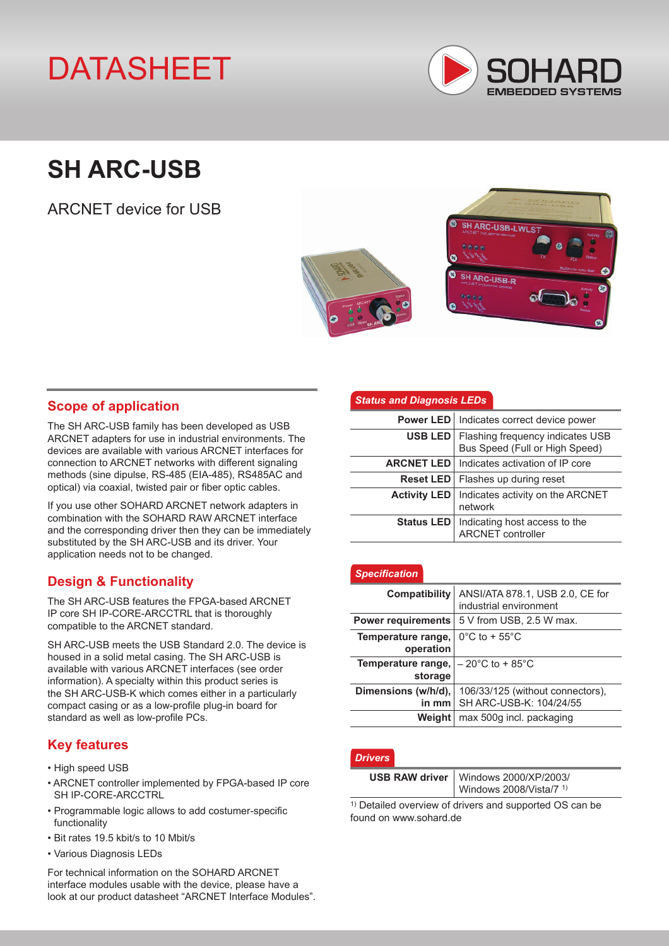# DATASHEET



## **SH ARC-USB**

ARCNET device for USB



## **Scope of application**

The SH ARC-USB family has been developed as USB ARCNET adapters for use in industrial environments. The devices are available with various ARCNET interfaces for connection to ARCNET networks with different signaling methods (sine dipulse, RS-485 (EIA-485), RS485AC and optical) via coaxial, twisted pair or fiber optic cables.

If you use other SOHARD ARCNET network adapters in combination with the SOHARD RAW ARCNET interface and the corresponding driver then they can be immediately substituted by the SH ARC-USB and its driver. Your application needs not to be changed.

## **Design & Functionality**

The SH ARC-USB features the FPGA-based ARCNET IP core SH IP-CORE-ARCCTRL that is thoroughly compatible to the ARCNET standard.

SH ARC-USB meets the USB Standard 2.0. The device is housed in a solid metal casing. The SH ARC-USB is available with various ARCNET interfaces (see order information). A specialty within this product series is the SH ARC-USB-K which comes either in a particularly compact casing or as a low-profile plug-in board for standard as well as low-profile PCs.

## **Key features**

- High speed USB
- ARCNET controller implemented by FPGA-based IP core SH IP-CORE-ARCCTRL
- Programmable logic allows to add costumer-specific functionality
- Bit rates 19.5 kbit/s to 10 Mbit/s
- Various Diagnosis LEDs

For technical information on the SOHARD ARCNET interface modules usable with the device, please have a look at our product datasheet "ARCNET Interface Modules".

#### *Status and Diagnosis LEDs*

|                     | Power LED   Indicates correct device power                         |  |  |
|---------------------|--------------------------------------------------------------------|--|--|
| USB LED             | Flashing frequency indicates USB<br>Bus Speed (Full or High Speed) |  |  |
|                     | <b>ARCNET LED</b>   Indicates activation of IP core                |  |  |
|                     | <b>Reset LED</b>   Flashes up during reset                         |  |  |
| <b>Activity LED</b> | Indicates activity on the ARCNET<br>network                        |  |  |
| Status LED          | Indicating host access to the<br>ARCNET controller                 |  |  |

#### *Specification*

| <b>Compatibility</b>            | ANSI/ATA 878.1, USB 2.0, CE for                             |  |  |
|---------------------------------|-------------------------------------------------------------|--|--|
|                                 | industrial environment                                      |  |  |
| <b>Power requirements</b>       | 5 V from USB, 2.5 W max.                                    |  |  |
| Temperature range,<br>operation | $0^{\circ}$ C to + 55 $^{\circ}$ C                          |  |  |
| Temperature range,<br>storage   | $-20^{\circ}$ C to + 85 $^{\circ}$ C                        |  |  |
| Dimensions (w/h/d),<br>in mm    | 106/33/125 (without connectors),<br>SH ARC-USB-K: 104/24/55 |  |  |
| Weight                          | max 500g incl. packaging                                    |  |  |

#### *Drivers*

| USB RAW driver   Windows 2000/XP/2003/ |  |  |
|----------------------------------------|--|--|
| Windows 2008/Vista/7 <sup>1)</sup>     |  |  |

1) Detailed overview of drivers and supported OS can be found on www.sohard.de